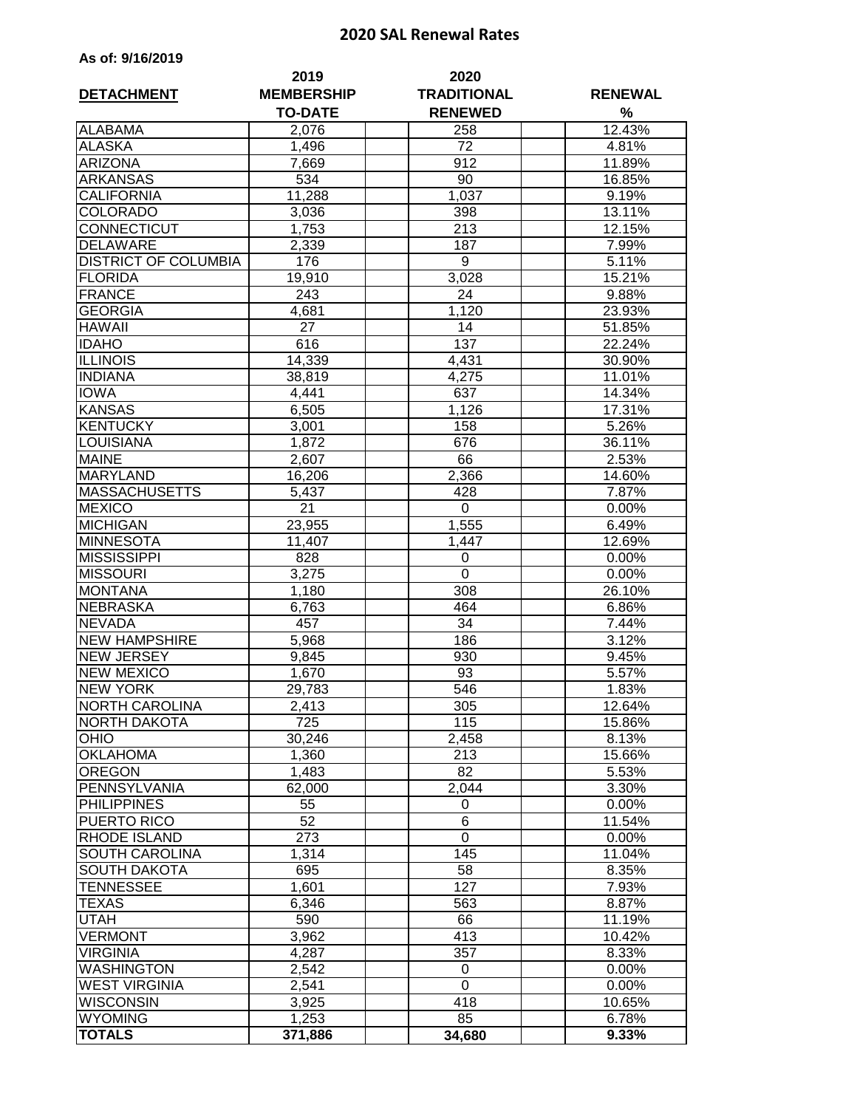## **2020 SAL Renewal Rates**

| As of: 9/16/2019 |  |  |  |  |  |
|------------------|--|--|--|--|--|
|------------------|--|--|--|--|--|

| <b>DETACHMENT</b>           | 2019<br><b>MEMBERSHIP</b> | 2020<br><b>TRADITIONAL</b> | <b>RENEWAL</b> |
|-----------------------------|---------------------------|----------------------------|----------------|
|                             | <b>TO-DATE</b>            | <b>RENEWED</b>             | %              |
| <b>ALABAMA</b>              | 2,076                     | 258                        | 12.43%         |
| <b>ALASKA</b>               | 1,496                     | 72                         | 4.81%          |
| <b>ARIZONA</b>              | 7,669                     | 912                        | 11.89%         |
| <b>ARKANSAS</b>             | 534                       | 90                         | 16.85%         |
| <b>CALIFORNIA</b>           | 11,288                    | 1,037                      | 9.19%          |
| <b>COLORADO</b>             | 3,036                     | 398                        | 13.11%         |
| <b>CONNECTICUT</b>          | 1,753                     | 213                        | 12.15%         |
| <b>DELAWARE</b>             | 2,339                     | 187                        | 7.99%          |
| <b>DISTRICT OF COLUMBIA</b> | 176                       | 9                          | 5.11%          |
| <b>FLORIDA</b>              | 19,910                    | 3,028                      | 15.21%         |
| <b>FRANCE</b>               | 243                       | 24                         | 9.88%          |
| <b>GEORGIA</b>              | 4,681                     | 1,120                      | 23.93%         |
| <b>HAWAII</b>               | 27                        | 14                         | 51.85%         |
| <b>IDAHO</b>                | 616                       | 137                        | 22.24%         |
| <b>ILLINOIS</b>             | 14,339                    | 4,431                      | 30.90%         |
| <b>INDIANA</b>              | 38,819                    | 4,275                      | 11.01%         |
| <b>IOWA</b>                 | 4,441                     | 637                        | 14.34%         |
| <b>KANSAS</b>               | 6,505                     | 1,126                      | 17.31%         |
| <b>KENTUCKY</b>             | 3,001                     | 158                        | 5.26%          |
| <b>LOUISIANA</b>            | 1,872                     | 676                        | 36.11%         |
| <b>MAINE</b>                | 2,607                     | 66                         | 2.53%          |
| <b>MARYLAND</b>             | 16,206                    | 2,366                      | 14.60%         |
| <b>MASSACHUSETTS</b>        | 5,437                     | 428                        | 7.87%          |
| <b>MEXICO</b>               | 21                        | 0                          | 0.00%          |
| <b>MICHIGAN</b>             | 23,955                    | 1,555                      | 6.49%          |
| <b>MINNESOTA</b>            | 11,407                    | 1,447                      | 12.69%         |
| <b>MISSISSIPPI</b>          | 828                       | 0                          | 0.00%          |
| <b>MISSOURI</b>             | 3,275                     | $\mathbf 0$                | 0.00%          |
| <b>MONTANA</b>              | 1,180                     | 308                        | 26.10%         |
| <b>NEBRASKA</b>             | 6,763                     | 464                        | 6.86%          |
| <b>NEVADA</b>               | 457                       | 34                         | 7.44%          |
| <b>NEW HAMPSHIRE</b>        | 5,968                     | 186                        | 3.12%          |
| <b>NEW JERSEY</b>           | 9,845                     | 930                        | 9.45%          |
| <b>NEW MEXICO</b>           | 1,670                     | 93                         | 5.57%          |
| <b>NEW YORK</b>             | 29,783                    | 546                        | 1.83%          |
| <b>NORTH CAROLINA</b>       | 2,413                     | 305                        | 12.64%         |
| <b>NORTH DAKOTA</b>         | 725                       | 115                        | 15.86%         |
| <b>OHIO</b>                 | 30,246                    | 2,458                      | 8.13%          |
| <b>OKLAHOMA</b>             | 1,360                     | 213                        | 15.66%         |
| <b>OREGON</b>               | 1,483                     | 82                         | 5.53%          |
| PENNSYLVANIA                | 62,000                    | 2,044                      | 3.30%          |
| <b>PHILIPPINES</b>          | 55                        | 0                          | 0.00%          |
| <b>PUERTO RICO</b>          | 52                        | 6                          | 11.54%         |
| <b>RHODE ISLAND</b>         | 273                       | 0                          | $0.00\%$       |
| SOUTH CAROLINA              | 1,314                     | 145                        | 11.04%         |
| <b>SOUTH DAKOTA</b>         | 695                       | 58                         | 8.35%          |
| <b>TENNESSEE</b>            | 1,601                     | 127                        | 7.93%          |
| <b>TEXAS</b>                | 6,346                     | 563                        | 8.87%          |
| <b>UTAH</b>                 | 590                       | 66                         | 11.19%         |
| <b>VERMONT</b>              | 3,962                     | 413                        | 10.42%         |
| <b>VIRGINIA</b>             | 4,287                     | 357                        | 8.33%          |
| <b>WASHINGTON</b>           | 2,542                     | 0                          | 0.00%          |
| <b>WEST VIRGINIA</b>        | 2,541                     | $\mathbf 0$                | 0.00%          |
| <b>WISCONSIN</b>            | 3,925                     | 418                        | 10.65%         |
| <b>WYOMING</b>              | 1,253                     | 85                         | 6.78%          |
| <b>TOTALS</b>               | 371,886                   | 34,680                     | 9.33%          |
|                             |                           |                            |                |